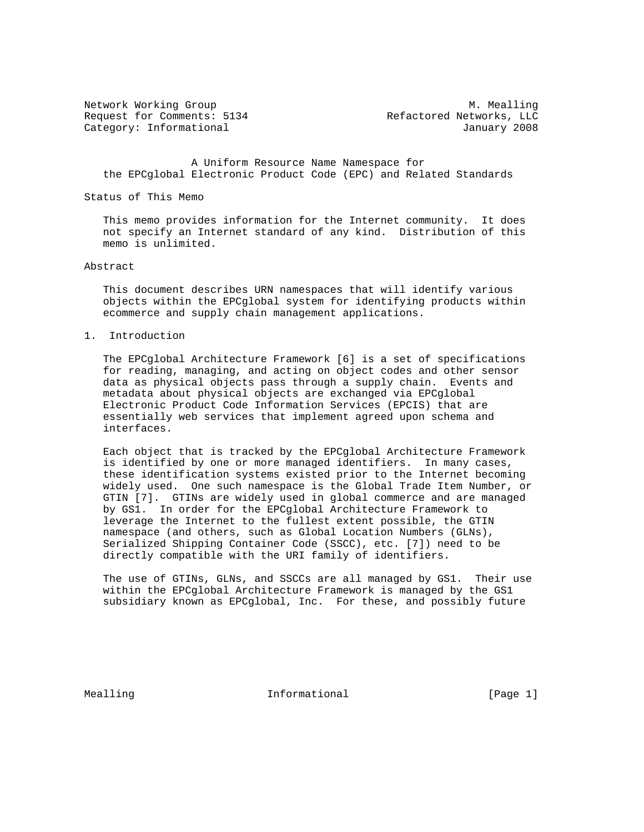Request for Comments: 5134 Refactored Networks, LLC Category: Informational and Category: Informational and American control of the USD of Tanuary 2008

Network Working Group and Month Communications of M. Mealling

 A Uniform Resource Name Namespace for the EPCglobal Electronic Product Code (EPC) and Related Standards

#### Status of This Memo

 This memo provides information for the Internet community. It does not specify an Internet standard of any kind. Distribution of this memo is unlimited.

## Abstract

 This document describes URN namespaces that will identify various objects within the EPCglobal system for identifying products within ecommerce and supply chain management applications.

### 1. Introduction

 The EPCglobal Architecture Framework [6] is a set of specifications for reading, managing, and acting on object codes and other sensor data as physical objects pass through a supply chain. Events and metadata about physical objects are exchanged via EPCglobal Electronic Product Code Information Services (EPCIS) that are essentially web services that implement agreed upon schema and interfaces.

 Each object that is tracked by the EPCglobal Architecture Framework is identified by one or more managed identifiers. In many cases, these identification systems existed prior to the Internet becoming widely used. One such namespace is the Global Trade Item Number, or GTIN [7]. GTINs are widely used in global commerce and are managed by GS1. In order for the EPCglobal Architecture Framework to leverage the Internet to the fullest extent possible, the GTIN namespace (and others, such as Global Location Numbers (GLNs), Serialized Shipping Container Code (SSCC), etc. [7]) need to be directly compatible with the URI family of identifiers.

 The use of GTINs, GLNs, and SSCCs are all managed by GS1. Their use within the EPCglobal Architecture Framework is managed by the GS1 subsidiary known as EPCglobal, Inc. For these, and possibly future

Mealling 10 and 10 millional 11 million informational that is easily in the late of the Magnetius end in the Ma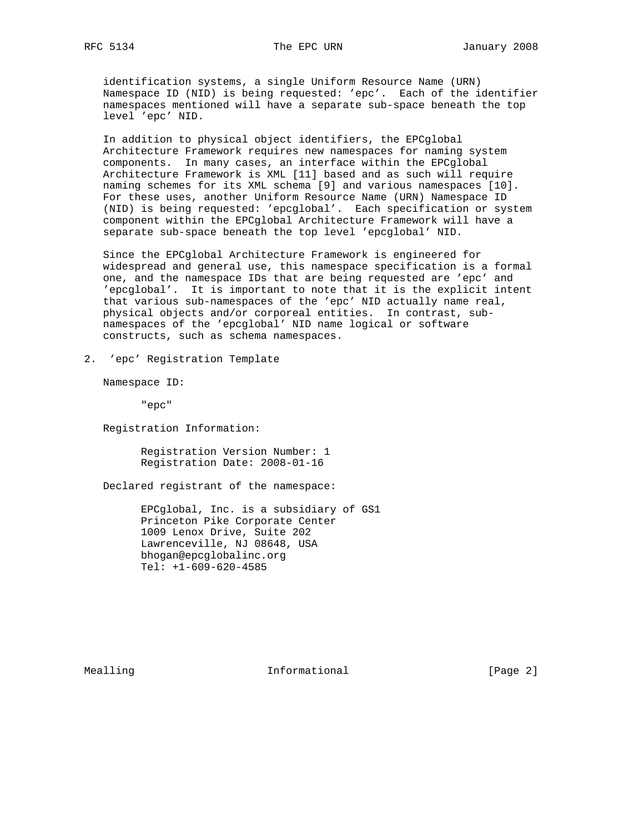identification systems, a single Uniform Resource Name (URN) Namespace ID (NID) is being requested: 'epc'. Each of the identifier namespaces mentioned will have a separate sub-space beneath the top level 'epc' NID.

 In addition to physical object identifiers, the EPCglobal Architecture Framework requires new namespaces for naming system components. In many cases, an interface within the EPCglobal Architecture Framework is XML [11] based and as such will require naming schemes for its XML schema [9] and various namespaces [10]. For these uses, another Uniform Resource Name (URN) Namespace ID (NID) is being requested: 'epcglobal'. Each specification or system component within the EPCglobal Architecture Framework will have a separate sub-space beneath the top level 'epcglobal' NID.

 Since the EPCglobal Architecture Framework is engineered for widespread and general use, this namespace specification is a formal one, and the namespace IDs that are being requested are 'epc' and 'epcglobal'. It is important to note that it is the explicit intent that various sub-namespaces of the 'epc' NID actually name real, physical objects and/or corporeal entities. In contrast, sub namespaces of the 'epcglobal' NID name logical or software constructs, such as schema namespaces.

2. 'epc' Registration Template

Namespace ID:

"epc"

Registration Information:

 Registration Version Number: 1 Registration Date: 2008-01-16

Declared registrant of the namespace:

 EPCglobal, Inc. is a subsidiary of GS1 Princeton Pike Corporate Center 1009 Lenox Drive, Suite 202 Lawrenceville, NJ 08648, USA bhogan@epcglobalinc.org Tel: +1-609-620-4585

Mealling **Informational Informational** [Page 2]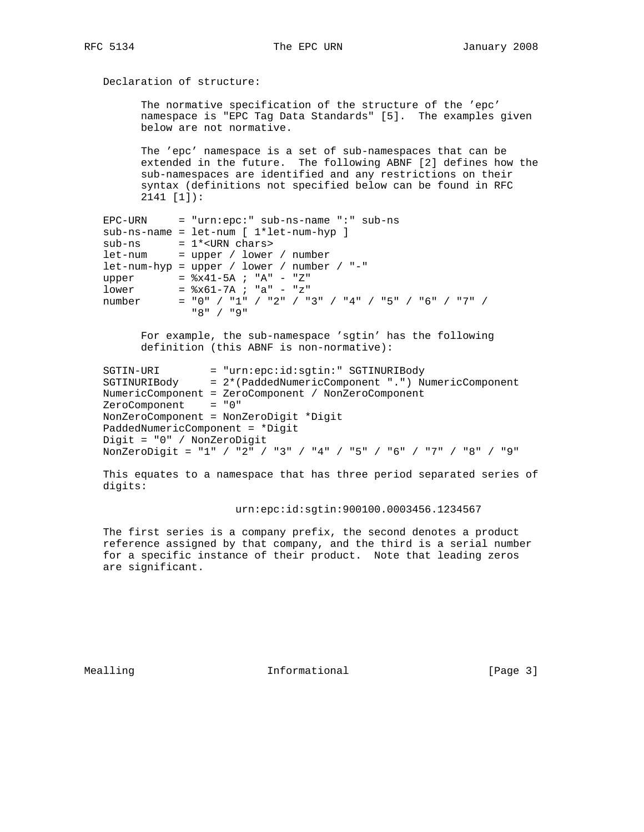# Declaration of structure:

 The normative specification of the structure of the 'epc' namespace is "EPC Tag Data Standards" [5]. The examples given below are not normative.

 The 'epc' namespace is a set of sub-namespaces that can be extended in the future. The following ABNF [2] defines how the sub-namespaces are identified and any restrictions on their syntax (definitions not specified below can be found in RFC 2141 [1]):

```
 EPC-URN = "urn:epc:" sub-ns-name ":" sub-ns
   sub-ns-name = let-num [ 1*let-num-hyp ]
 sub-ns = 1*<URN chars>
 let-num = upper / lower / number
   let-num-hyp = upper / lower / number / "-"
  upper = 8x41-5A ; "A" - "Z"
lower = <math>$x61-7A</math> ; "a" - "z" number = "0" / "1" / "2" / "3" / "4" / "5" / "6" / "7" /
                "8" / "9"
```
 For example, the sub-namespace 'sgtin' has the following definition (this ABNF is non-normative):

```
 SGTIN-URI = "urn:epc:id:sgtin:" SGTINURIBody
 SGTINURIBody = 2*(PaddedNumericComponent ".") NumericComponent
   NumericComponent = ZeroComponent / NonZeroComponent
   ZeroComponent = "0"
   NonZeroComponent = NonZeroDigit *Digit
   PaddedNumericComponent = *Digit
   Digit = "0" / NonZeroDigit
   NonZeroDigit = "1" / "2" / "3" / "4" / "5" / "6" / "7" / "8" / "9"
```
 This equates to a namespace that has three period separated series of digits:

### urn:epc:id:sgtin:900100.0003456.1234567

 The first series is a company prefix, the second denotes a product reference assigned by that company, and the third is a serial number for a specific instance of their product. Note that leading zeros are significant.

Mealling 10 and 10 millional 11 million in the UP of the Mean of the Mean of the Mean of the Informational 10 million in the UP of the Mean of the Mean of the Mean of the Mean of the Mean of the Mean of the Mean of the Mea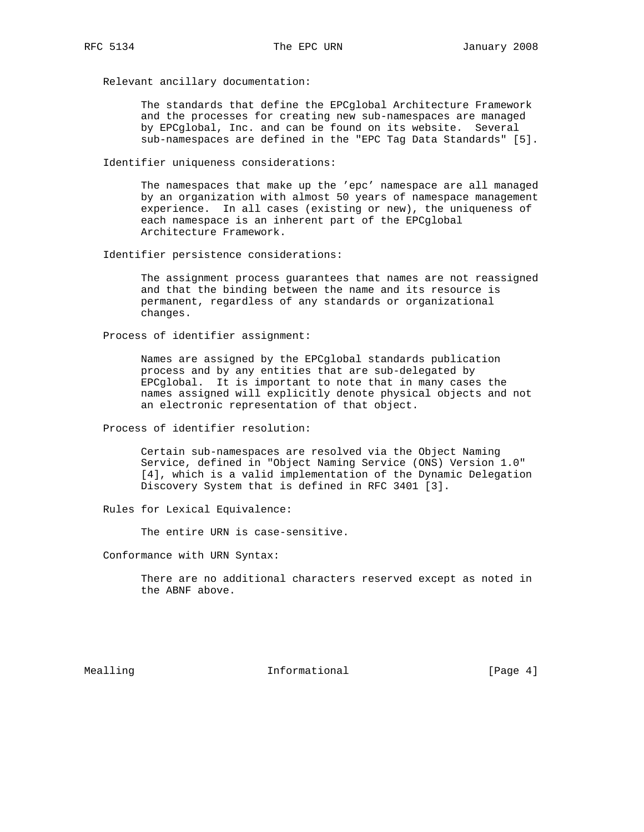Relevant ancillary documentation:

 The standards that define the EPCglobal Architecture Framework and the processes for creating new sub-namespaces are managed by EPCglobal, Inc. and can be found on its website. Several sub-namespaces are defined in the "EPC Tag Data Standards" [5].

Identifier uniqueness considerations:

 The namespaces that make up the 'epc' namespace are all managed by an organization with almost 50 years of namespace management experience. In all cases (existing or new), the uniqueness of each namespace is an inherent part of the EPCglobal Architecture Framework.

Identifier persistence considerations:

 The assignment process guarantees that names are not reassigned and that the binding between the name and its resource is permanent, regardless of any standards or organizational changes.

Process of identifier assignment:

 Names are assigned by the EPCglobal standards publication process and by any entities that are sub-delegated by EPCglobal. It is important to note that in many cases the names assigned will explicitly denote physical objects and not an electronic representation of that object.

Process of identifier resolution:

 Certain sub-namespaces are resolved via the Object Naming Service, defined in "Object Naming Service (ONS) Version 1.0" [4], which is a valid implementation of the Dynamic Delegation Discovery System that is defined in RFC 3401 [3].

Rules for Lexical Equivalence:

The entire URN is case-sensitive.

Conformance with URN Syntax:

 There are no additional characters reserved except as noted in the ABNF above.

Mealling **Informational Informational** [Page 4]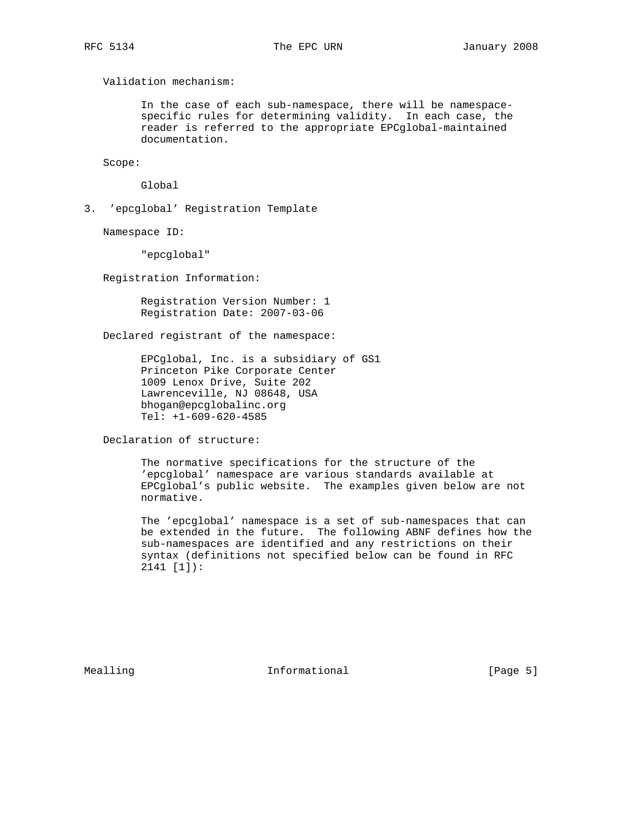Validation mechanism:

 In the case of each sub-namespace, there will be namespace specific rules for determining validity. In each case, the reader is referred to the appropriate EPCglobal-maintained documentation.

Scope:

Global

3. 'epcglobal' Registration Template

Namespace ID:

"epcglobal"

Registration Information:

 Registration Version Number: 1 Registration Date: 2007-03-06

Declared registrant of the namespace:

 EPCglobal, Inc. is a subsidiary of GS1 Princeton Pike Corporate Center 1009 Lenox Drive, Suite 202 Lawrenceville, NJ 08648, USA bhogan@epcglobalinc.org Tel: +1-609-620-4585

Declaration of structure:

 The normative specifications for the structure of the 'epcglobal' namespace are various standards available at EPCglobal's public website. The examples given below are not normative.

 The 'epcglobal' namespace is a set of sub-namespaces that can be extended in the future. The following ABNF defines how the sub-namespaces are identified and any restrictions on their syntax (definitions not specified below can be found in RFC 2141 [1]):

Mealling 10 and 10 millional 11 million of the UP (Page 5)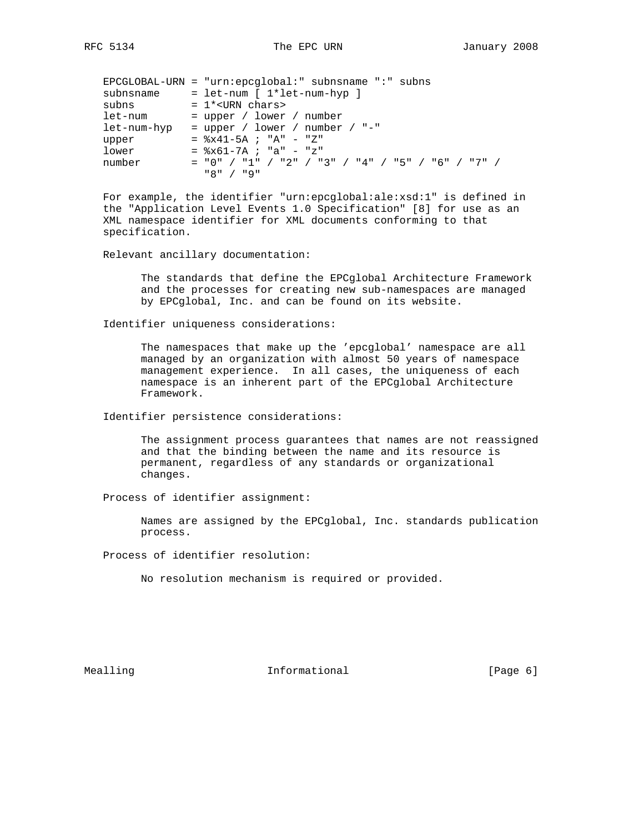|             | $EPCGLOBAL-URN = "urn:epcqlobal:" subnsname ":: subns$ |
|-------------|--------------------------------------------------------|
| subnsname   | $=$ let-num [ $1*$ let-num-hyp ]                       |
| subns       | $= 1*$ <urn chars=""></urn>                            |
| let-num     | $=$ upper / lower / number                             |
| let-num-hyp | = upper / lower / number / "-"                         |
| upper       | $=$ $8x41-5A$ ; "A" - "Z"                              |
| lower       | $=$ $x61-7A$ ; "a" - "z"                               |
| number      | $=$ "0" / "1" / "2" / "3" / "4" / "5" / "6" / "7" /    |
|             | "א / "ש                                                |

 For example, the identifier "urn:epcglobal:ale:xsd:1" is defined in the "Application Level Events 1.0 Specification" [8] for use as an XML namespace identifier for XML documents conforming to that specification.

### Relevant ancillary documentation:

 The standards that define the EPCglobal Architecture Framework and the processes for creating new sub-namespaces are managed by EPCglobal, Inc. and can be found on its website.

Identifier uniqueness considerations:

 The namespaces that make up the 'epcglobal' namespace are all managed by an organization with almost 50 years of namespace management experience. In all cases, the uniqueness of each namespace is an inherent part of the EPCglobal Architecture Framework.

Identifier persistence considerations:

 The assignment process guarantees that names are not reassigned and that the binding between the name and its resource is permanent, regardless of any standards or organizational changes.

Process of identifier assignment:

 Names are assigned by the EPCglobal, Inc. standards publication process.

Process of identifier resolution:

No resolution mechanism is required or provided.

Mealling and Informational Theorem is the end of  $[Page 6]$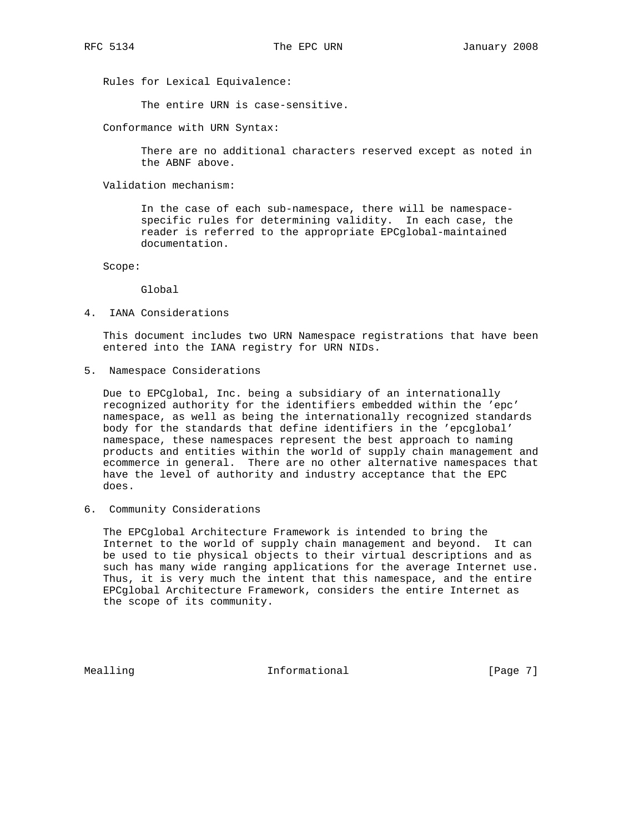Rules for Lexical Equivalence:

The entire URN is case-sensitive.

Conformance with URN Syntax:

 There are no additional characters reserved except as noted in the ABNF above.

Validation mechanism:

 In the case of each sub-namespace, there will be namespace specific rules for determining validity. In each case, the reader is referred to the appropriate EPCglobal-maintained documentation.

Scope:

Global

4. IANA Considerations

 This document includes two URN Namespace registrations that have been entered into the IANA registry for URN NIDs.

5. Namespace Considerations

 Due to EPCglobal, Inc. being a subsidiary of an internationally recognized authority for the identifiers embedded within the 'epc' namespace, as well as being the internationally recognized standards body for the standards that define identifiers in the 'epcglobal' namespace, these namespaces represent the best approach to naming products and entities within the world of supply chain management and ecommerce in general. There are no other alternative namespaces that have the level of authority and industry acceptance that the EPC does.

6. Community Considerations

 The EPCglobal Architecture Framework is intended to bring the Internet to the world of supply chain management and beyond. It can be used to tie physical objects to their virtual descriptions and as such has many wide ranging applications for the average Internet use. Thus, it is very much the intent that this namespace, and the entire EPCglobal Architecture Framework, considers the entire Internet as the scope of its community.

Mealling **Informational Informational** [Page 7]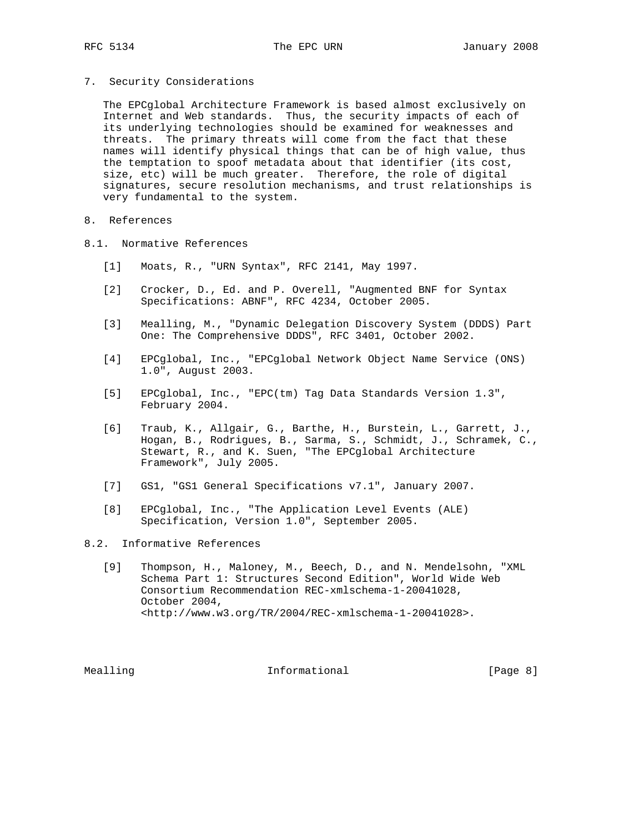7. Security Considerations

 The EPCglobal Architecture Framework is based almost exclusively on Internet and Web standards. Thus, the security impacts of each of its underlying technologies should be examined for weaknesses and threats. The primary threats will come from the fact that these names will identify physical things that can be of high value, thus the temptation to spoof metadata about that identifier (its cost, size, etc) will be much greater. Therefore, the role of digital signatures, secure resolution mechanisms, and trust relationships is very fundamental to the system.

8. References

- 8.1. Normative References
	- [1] Moats, R., "URN Syntax", RFC 2141, May 1997.
	- [2] Crocker, D., Ed. and P. Overell, "Augmented BNF for Syntax Specifications: ABNF", RFC 4234, October 2005.
	- [3] Mealling, M., "Dynamic Delegation Discovery System (DDDS) Part One: The Comprehensive DDDS", RFC 3401, October 2002.
	- [4] EPCglobal, Inc., "EPCglobal Network Object Name Service (ONS) 1.0", August 2003.
	- [5] EPCglobal, Inc., "EPC(tm) Tag Data Standards Version 1.3", February 2004.
	- [6] Traub, K., Allgair, G., Barthe, H., Burstein, L., Garrett, J., Hogan, B., Rodrigues, B., Sarma, S., Schmidt, J., Schramek, C., Stewart, R., and K. Suen, "The EPCglobal Architecture Framework", July 2005.
	- [7] GS1, "GS1 General Specifications v7.1", January 2007.
	- [8] EPCglobal, Inc., "The Application Level Events (ALE) Specification, Version 1.0", September 2005.
- 8.2. Informative References
	- [9] Thompson, H., Maloney, M., Beech, D., and N. Mendelsohn, "XML Schema Part 1: Structures Second Edition", World Wide Web Consortium Recommendation REC-xmlschema-1-20041028, October 2004, <http://www.w3.org/TR/2004/REC-xmlschema-1-20041028>.

Mealling The Informational The Informational (Page 8)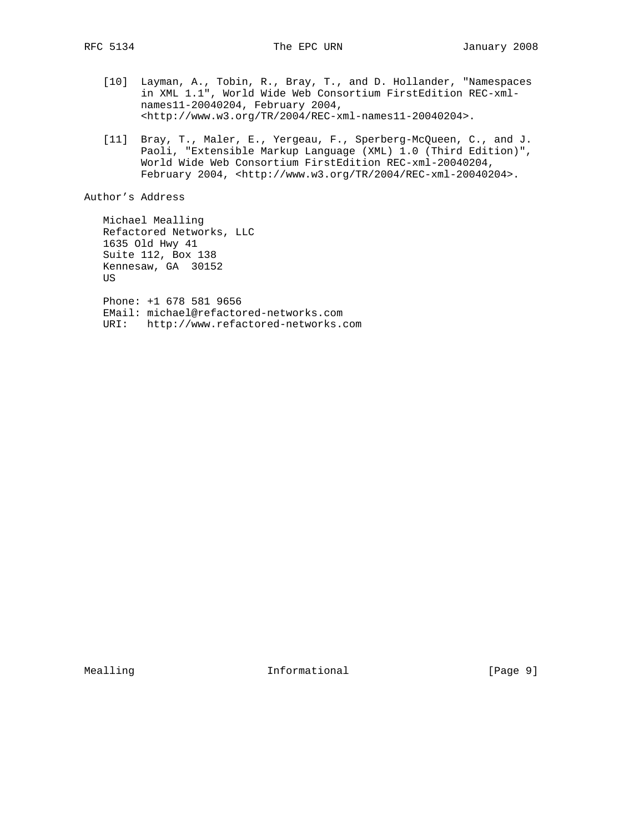- [10] Layman, A., Tobin, R., Bray, T., and D. Hollander, "Namespaces in XML 1.1", World Wide Web Consortium FirstEdition REC-xml names11-20040204, February 2004, <http://www.w3.org/TR/2004/REC-xml-names11-20040204>.
- [11] Bray, T., Maler, E., Yergeau, F., Sperberg-McQueen, C., and J. Paoli, "Extensible Markup Language (XML) 1.0 (Third Edition)", World Wide Web Consortium FirstEdition REC-xml-20040204, February 2004, <http://www.w3.org/TR/2004/REC-xml-20040204>.

Author's Address

 Michael Mealling Refactored Networks, LLC 1635 Old Hwy 41 Suite 112, Box 138 Kennesaw, GA 30152 US Phone: +1 678 581 9656 EMail: michael@refactored-networks.com URI: http://www.refactored-networks.com

Mealling **Informational Informational** [Page 9]